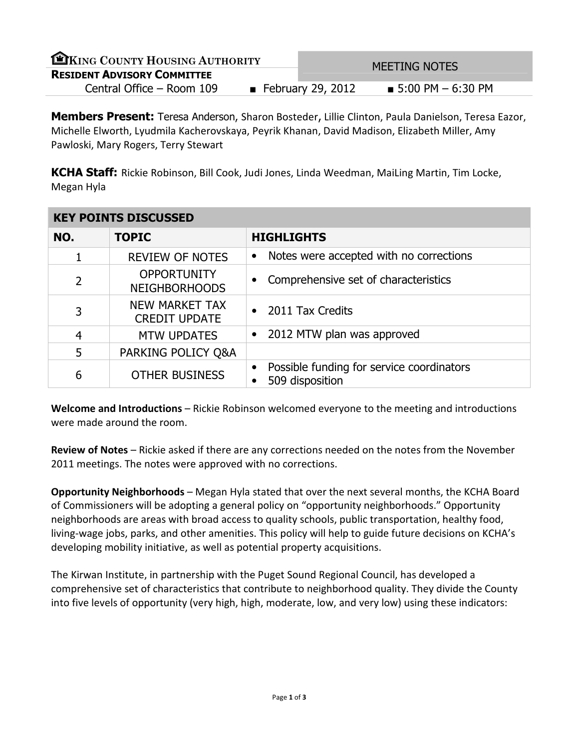| EXING COUNTY HOUSING AUTHORITY     |  | <b>MEETING NOTES</b>               |                                  |  |
|------------------------------------|--|------------------------------------|----------------------------------|--|
| <b>RESIDENT ADVISORY COMMITTEE</b> |  |                                    |                                  |  |
| Central Office - Room 109          |  | <b>Example 1</b> February 29, 2012 | $\blacksquare$ 5:00 PM – 6:30 PM |  |

Members Present: Teresa Anderson, Sharon Bosteder, Lillie Clinton, Paula Danielson, Teresa Eazor, Michelle Elworth, Lyudmila Kacherovskaya, Peyrik Khanan, David Madison, Elizabeth Miller, Amy Pawloski, Mary Rogers, Terry Stewart

KCHA Staff: Rickie Robinson, Bill Cook, Judi Jones, Linda Weedman, MaiLing Martin, Tim Locke, Megan Hyla

| <b>KEY POINTS DISCUSSED</b> |                                            |                                                              |  |
|-----------------------------|--------------------------------------------|--------------------------------------------------------------|--|
| NO.                         | <b>TOPIC</b>                               | <b>HIGHLIGHTS</b>                                            |  |
| 1                           | <b>REVIEW OF NOTES</b>                     | Notes were accepted with no corrections<br>$\bullet$         |  |
| $\overline{2}$              | <b>OPPORTUNITY</b><br><b>NEIGHBORHOODS</b> | Comprehensive set of characteristics<br>$\bullet$            |  |
| 3                           | NEW MARKET TAX<br><b>CREDIT UPDATE</b>     | 2011 Tax Credits<br>$\bullet$                                |  |
| $\overline{4}$              | <b>MTW UPDATES</b>                         | 2012 MTW plan was approved<br>$\bullet$                      |  |
| 5                           | PARKING POLICY Q&A                         |                                                              |  |
| 6                           | <b>OTHER BUSINESS</b>                      | Possible funding for service coordinators<br>509 disposition |  |

Welcome and Introductions – Rickie Robinson welcomed everyone to the meeting and introductions were made around the room.

Review of Notes - Rickie asked if there are any corrections needed on the notes from the November 2011 meetings. The notes were approved with no corrections.

Opportunity Neighborhoods – Megan Hyla stated that over the next several months, the KCHA Board of Commissioners will be adopting a general policy on "opportunity neighborhoods." Opportunity neighborhoods are areas with broad access to quality schools, public transportation, healthy food, living-wage jobs, parks, and other amenities. This policy will help to guide future decisions on KCHA's developing mobility initiative, as well as potential property acquisitions.

The Kirwan Institute, in partnership with the Puget Sound Regional Council, has developed a comprehensive set of characteristics that contribute to neighborhood quality. They divide the County into five levels of opportunity (very high, high, moderate, low, and very low) using these indicators: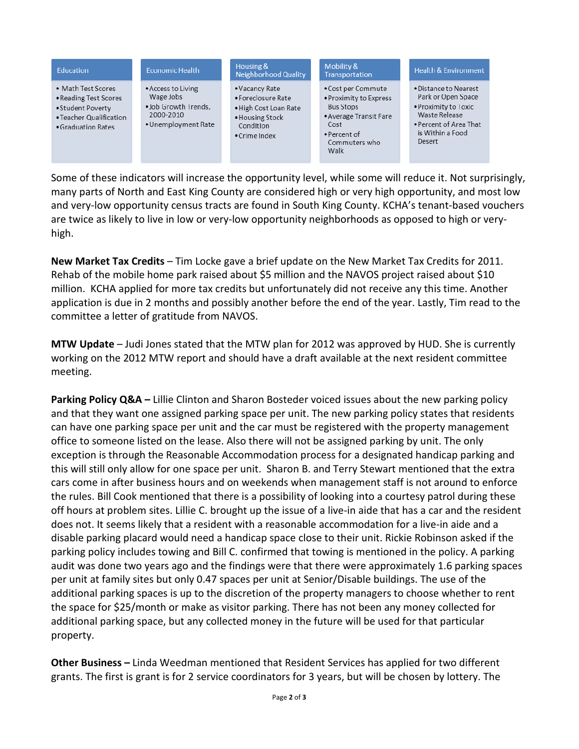

Some of these indicators will increase the opportunity level, while some will reduce it. Not surprisingly, many parts of North and East King County are considered high or very high opportunity, and most low and very-low opportunity census tracts are found in South King County. KCHA's tenant-based vouchers are twice as likely to live in low or very-low opportunity neighborhoods as opposed to high or veryhigh.

New Market Tax Credits – Tim Locke gave a brief update on the New Market Tax Credits for 2011. Rehab of the mobile home park raised about \$5 million and the NAVOS project raised about \$10 million. KCHA applied for more tax credits but unfortunately did not receive any this time. Another application is due in 2 months and possibly another before the end of the year. Lastly, Tim read to the committee a letter of gratitude from NAVOS.

MTW Update – Judi Jones stated that the MTW plan for 2012 was approved by HUD. She is currently working on the 2012 MTW report and should have a draft available at the next resident committee meeting.

Parking Policy Q&A – Lillie Clinton and Sharon Bosteder voiced issues about the new parking policy and that they want one assigned parking space per unit. The new parking policy states that residents can have one parking space per unit and the car must be registered with the property management office to someone listed on the lease. Also there will not be assigned parking by unit. The only exception is through the Reasonable Accommodation process for a designated handicap parking and this will still only allow for one space per unit. Sharon B. and Terry Stewart mentioned that the extra cars come in after business hours and on weekends when management staff is not around to enforce the rules. Bill Cook mentioned that there is a possibility of looking into a courtesy patrol during these off hours at problem sites. Lillie C. brought up the issue of a live-in aide that has a car and the resident does not. It seems likely that a resident with a reasonable accommodation for a live-in aide and a disable parking placard would need a handicap space close to their unit. Rickie Robinson asked if the parking policy includes towing and Bill C. confirmed that towing is mentioned in the policy. A parking audit was done two years ago and the findings were that there were approximately 1.6 parking spaces per unit at family sites but only 0.47 spaces per unit at Senior/Disable buildings. The use of the additional parking spaces is up to the discretion of the property managers to choose whether to rent the space for \$25/month or make as visitor parking. There has not been any money collected for additional parking space, but any collected money in the future will be used for that particular property.

Other Business – Linda Weedman mentioned that Resident Services has applied for two different grants. The first is grant is for 2 service coordinators for 3 years, but will be chosen by lottery. The